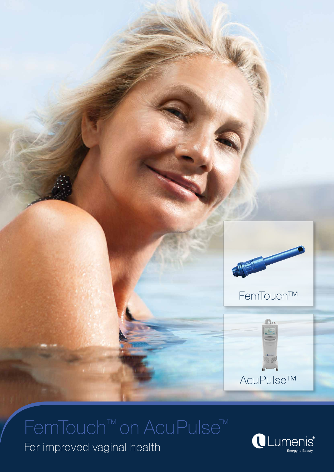

## FemTouch™ on AcuPulse™

For improved vaginal health

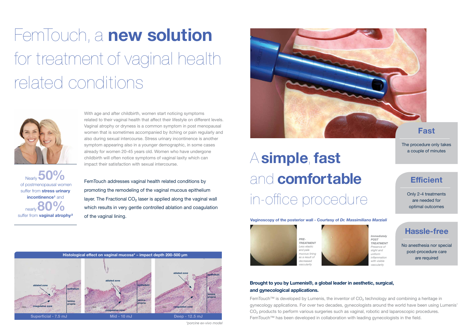# FemTouch, a **new solution**  for treatment of vaginal health related conditions



With age and after childbirth, women start noticing symptoms related to their vaginal health that affect their lifestyle on different levels. Vaginal atrophy or dryness is a common symptom in post menopausal women that is sometimes accompanied by itching or pain regularly and also during sexual intercourse. Stress urinary incontinence is another symptom appearing also in a younger demographic, in some cases already for women 20-45 years old. Women who have undergone childbirth will often notice symptoms of vaginal laxity which can impact their satisfaction with sexual intercourse.

FemTouch addresses vaginal health related conditions by promoting the remodeling of the vaginal mucous epithelium layer. The Fractional  $CO<sub>2</sub>$  laser is applied along the vaginal wall which results in very gentle controlled ablation and coagulation of the vaginal lining.



# A **simple**, **fast** and **comfortable** in-office procedure

FemTouch™ is developed by Lumenis, the inventor of CO<sub>2</sub> technology and combining a heritage in gynecology applications. For over two decades, gynecologists around the world have been using Lumenis' CO<sub>2</sub> products to perform various surgeries such as vaginal, robotic and laparoscopic procedures. FemTouch™ has been developed in collaboration with leading gynecologists in the field.

of postmenopausal women Nearly **50%** suffer from **stress urinary incontinence<sup>1</sup>** and suffer from nearly**80% vaginal atrophy²**

*\*porcine ex-vivo model* 

**Superficial - 7.5 mJ Mid - 10 mJ Deep - 12.5 mJ**





## **Hassle-free**

No anesthesia nor special post-procedure care are required

## **Efficient**

Only 2-4 treatments are needed for optimal outcomes



## **Fast**

The procedure only takes a couple of minutes

### **Brought to you by Lumenis®, a global leader in aesthetic, surgical, and gynecological applications.**

*PRE-TREATMENT Less elastic and pale mucous lining as a result of decreased vascularity* 



*Immediately POST TREATMENT Presence of slight and uniform inflammation with visible vascularity*

**Vaginoscopy of the posterior wall - Courtesy of** *Dr. Massimiliano Marziali*